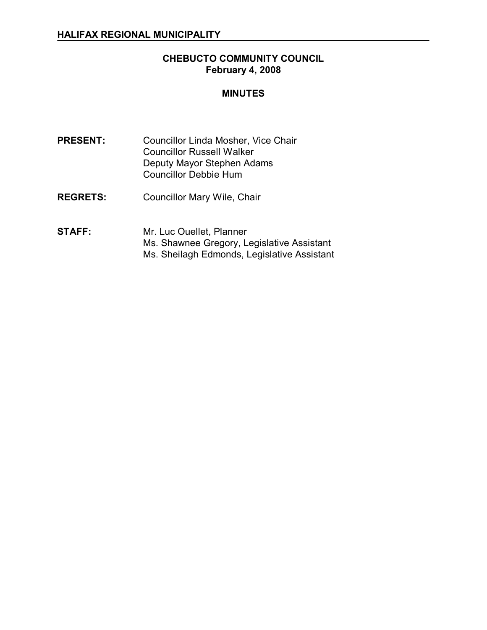# **CHEBUCTO COMMUNITY COUNCIL February 4, 2008**

#### **MINUTES**

- **PRESENT:** Councillor Linda Mosher, Vice Chair Councillor Russell Walker Deputy Mayor Stephen Adams Councillor Debbie Hum
- **REGRETS:** Councillor Mary Wile, Chair
- **STAFF:** Mr. Luc Ouellet, Planner Ms. Shawnee Gregory, Legislative Assistant Ms. Sheilagh Edmonds, Legislative Assistant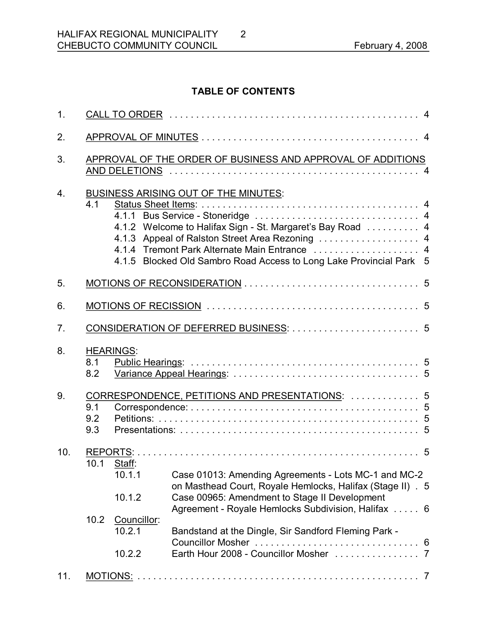# **TABLE OF CONTENTS**

| 1.               |                                        |                                                             |                                                                                                                                                                                                                                    |  |  |
|------------------|----------------------------------------|-------------------------------------------------------------|------------------------------------------------------------------------------------------------------------------------------------------------------------------------------------------------------------------------------------|--|--|
| 2.               |                                        |                                                             |                                                                                                                                                                                                                                    |  |  |
| 3.               |                                        | APPROVAL OF THE ORDER OF BUSINESS AND APPROVAL OF ADDITIONS |                                                                                                                                                                                                                                    |  |  |
| $\overline{4}$ . | 4.1                                    |                                                             | <b>BUSINESS ARISING OUT OF THE MINUTES:</b><br>4.1.2 Welcome to Halifax Sign - St. Margaret's Bay Road 4<br>4.1.3 Appeal of Ralston Street Area Rezoning  4<br>4.1.5 Blocked Old Sambro Road Access to Long Lake Provincial Park 5 |  |  |
| 5.               |                                        |                                                             |                                                                                                                                                                                                                                    |  |  |
| 6.               |                                        |                                                             |                                                                                                                                                                                                                                    |  |  |
| 7.               | CONSIDERATION OF DEFERRED BUSINESS:  5 |                                                             |                                                                                                                                                                                                                                    |  |  |
| 8.               | 8.1<br>8.2                             | <b>HEARINGS:</b>                                            |                                                                                                                                                                                                                                    |  |  |
| 9.               | 9.1<br>9.2<br>9.3                      | CORRESPONDENCE, PETITIONS AND PRESENTATIONS:  5             |                                                                                                                                                                                                                                    |  |  |
| 10.              |                                        | 10.1 Staff:<br>10.1.1<br>10.1.2                             | Case 01013: Amending Agreements - Lots MC-1 and MC-2<br>on Masthead Court, Royale Hemlocks, Halifax (Stage II) . 5<br>Case 00965: Amendment to Stage II Development<br>Agreement - Royale Hemlocks Subdivision, Halifax  6         |  |  |
|                  | 10.2                                   | Councillor:<br>10.2.1<br>10.2.2                             | Bandstand at the Dingle, Sir Sandford Fleming Park -                                                                                                                                                                               |  |  |
| 11.              |                                        |                                                             |                                                                                                                                                                                                                                    |  |  |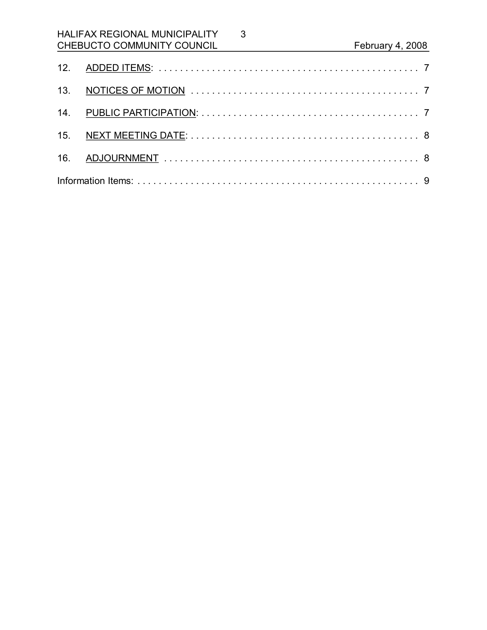# HALIFAX REGIONAL MUNICIPALITY CHEBUCTO COMMUNITY COUNCIL February 4, 2008

3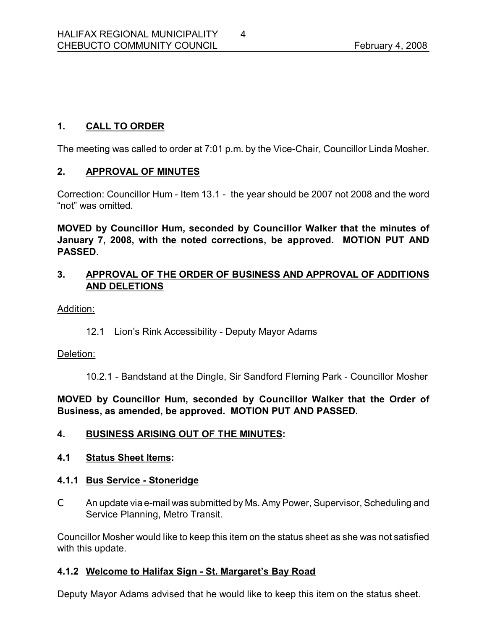# **1. CALL TO ORDER**

The meeting was called to order at 7:01 p.m. by the Vice-Chair, Councillor Linda Mosher.

#### **2. APPROVAL OF MINUTES**

Correction: Councillor Hum - Item 13.1 - the year should be 2007 not 2008 and the word "not" was omitted.

**MOVED by Councillor Hum, seconded by Councillor Walker that the minutes of January 7, 2008, with the noted corrections, be approved. MOTION PUT AND PASSED**.

#### **3. APPROVAL OF THE ORDER OF BUSINESS AND APPROVAL OF ADDITIONS AND DELETIONS**

Addition:

12.1 Lion's Rink Accessibility - Deputy Mayor Adams

#### Deletion:

10.2.1 - Bandstand at the Dingle, Sir Sandford Fleming Park - Councillor Mosher

**MOVED by Councillor Hum, seconded by Councillor Walker that the Order of Business, as amended, be approved. MOTION PUT AND PASSED.** 

#### **4. BUSINESS ARISING OUT OF THE MINUTES:**

#### **4.1 Status Sheet Items:**

# **4.1.1 Bus Service Stoneridge**

 $C$  An update via e-mail was submitted by Ms. Amy Power, Supervisor, Scheduling and Service Planning, Metro Transit.

Councillor Mosher would like to keep this item on the status sheet as she was not satisfied with this update.

# 4.1.2 Welcome to Halifax Sign - St. Margaret's Bay Road

Deputy Mayor Adams advised that he would like to keep this item on the status sheet.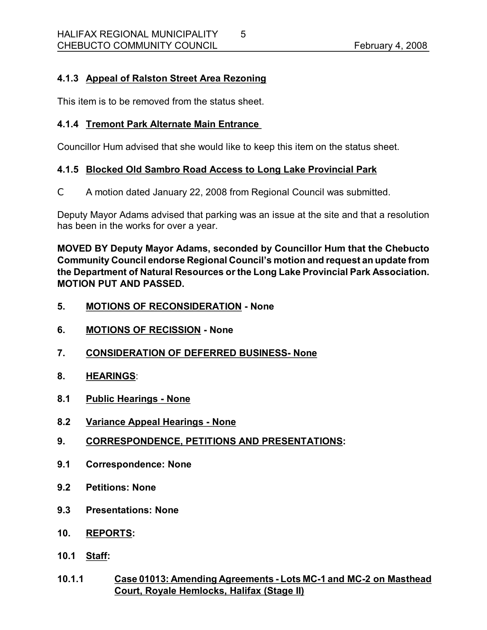# **4.1.3 Appeal of Ralston Street Area Rezoning**

This item is to be removed from the status sheet.

# **4.1.4 Tremont Park Alternate Main Entrance**

Councillor Hum advised that she would like to keep this item on the status sheet.

# **4.1.5 Blocked Old Sambro Road Access to Long Lake Provincial Park**

C A motion dated January 22, 2008 from Regional Council was submitted.

Deputy Mayor Adams advised that parking was an issue at the site and that a resolution has been in the works for over a year.

**MOVED BY Deputy Mayor Adams, seconded by Councillor Hum that the Chebucto Community Council endorse Regional Council's motion and request an update from the Department of Natural Resources orthe Long Lake Provincial Park Association. MOTION PUT AND PASSED.** 

- **5. MOTIONS OF RECONSIDERATION None**
- **6. MOTIONS OF RECISSION None**
- **7. CONSIDERATION OF DEFERRED BUSINESS None**
- **8. HEARINGS**:
- **8.1 Public Hearings None**
- **8.2 Variance Appeal Hearings None**
- **9. CORRESPONDENCE, PETITIONS AND PRESENTATIONS:**
- **9.1 Correspondence: None**
- **9.2 Petitions: None**
- **9.3 Presentations: None**
- **10. REPORTS:**
- **10.1 Staff:**
- **10.1.1 Case 01013: Amending Agreements Lots MC1 and MC2 on Masthead Court, Royale Hemlocks, Halifax (Stage II)**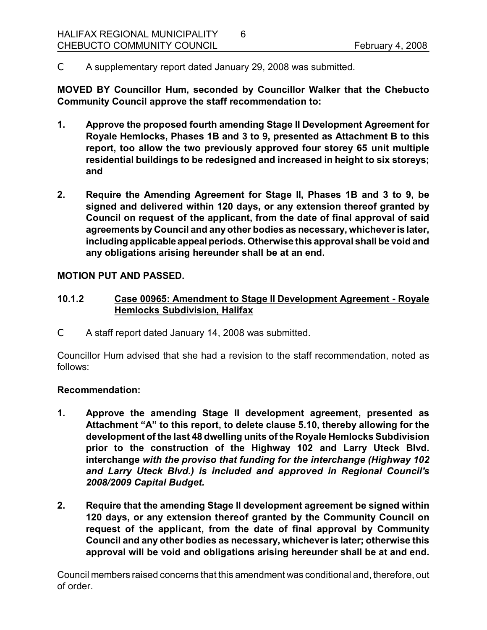C A supplementary report dated January 29, 2008 was submitted.

**MOVED BY Councillor Hum, seconded by Councillor Walker that the Chebucto Community Council approve the staff recommendation to:**

6

- **1. Approve the proposed fourth amending Stage II Development Agreement for Royale Hemlocks, Phases 1B and 3 to 9, presented as Attachment B to this report, too allow the two previously approved four storey 65 unit multiple residential buildings to be redesigned and increased in height to six storeys; and**
- **2. Require the Amending Agreement for Stage II, Phases 1B and 3 to 9, be signed and delivered within 120 days, or any extension thereof granted by Council on request of the applicant, from the date of final approval of said agreements by Council and any other bodies as necessary, whichever is later, including applicable appeal periods. Otherwise this approval shall be void and any obligations arising hereunder shall be at an end.**

#### **MOTION PUT AND PASSED.**

# **10.1.2 Case 00965: Amendment to Stage II Development Agreement Royale Hemlocks Subdivision, Halifax**

C A staff report dated January 14, 2008 was submitted.

Councillor Hum advised that she had a revision to the staff recommendation, noted as follows:

#### **Recommendation:**

- **1. Approve the amending Stage II development agreement, presented as Attachment "A" to this report, to delete clause 5.10, thereby allowing for the development of the last 48 dwelling units of the Royale Hemlocks Subdivision prior to the construction of the Highway 102 and Larry Uteck Blvd. interchange** *with the proviso that funding for the interchange (Highway 102 and Larry Uteck Blvd.) is included and approved in Regional Council's 2008/2009 Capital Budget.*
- **2. Require that the amending Stage II development agreement be signed within 120 days, or any extension thereof granted by the Community Council on request of the applicant, from the date of final approval by Community Council and any other bodies as necessary, whichever is later; otherwise this approval will be void and obligations arising hereunder shall be at and end.**

Council members raised concerns that this amendment was conditional and, therefore, out of order.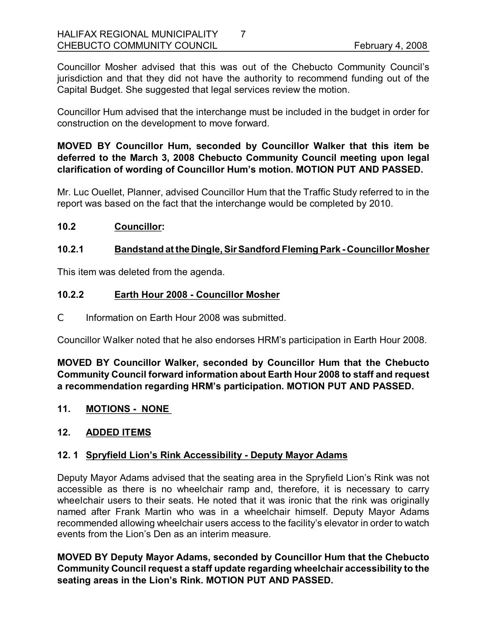Councillor Mosher advised that this was out of the Chebucto Community Council's jurisdiction and that they did not have the authority to recommend funding out of the Capital Budget. She suggested that legal services review the motion.

7

Councillor Hum advised that the interchange must be included in the budget in order for construction on the development to move forward.

# **MOVED BY Councillor Hum, seconded by Councillor Walker that this item be deferred to the March 3, 2008 Chebucto Community Council meeting upon legal clarification of wording of Councillor Hum's motion. MOTION PUT AND PASSED.**

Mr. Luc Ouellet, Planner, advised Councillor Hum that the Traffic Study referred to in the report was based on the fact that the interchange would be completed by 2010.

#### **10.2 Councillor:**

#### **10.2.1 Bandstand at theDingle, SirSandford Fleming Park Councillor Mosher**

This item was deleted from the agenda.

#### **10.2.2 Earth Hour 2008 Councillor Mosher**

C Information on Earth Hour 2008 was submitted.

Councillor Walker noted that he also endorses HRM's participation in Earth Hour 2008.

**MOVED BY Councillor Walker, seconded by Councillor Hum that the Chebucto Community Council forward information about Earth Hour 2008 to staff and request a recommendation regarding HRM's participation. MOTION PUT AND PASSED.** 

**11. MOTIONS NONE** 

# **12. ADDED ITEMS**

#### **12. 1 Spryfield Lion's Rink Accessibility Deputy Mayor Adams**

Deputy Mayor Adams advised that the seating area in the Spryfield Lion's Rink was not accessible as there is no wheelchair ramp and, therefore, it is necessary to carry wheelchair users to their seats. He noted that it was ironic that the rink was originally named after Frank Martin who was in a wheelchair himself. Deputy Mayor Adams recommended allowing wheelchair users access to the facility's elevator in order to watch events from the Lion's Den as an interim measure.

**MOVED BY Deputy Mayor Adams, seconded by Councillor Hum that the Chebucto Community Council request a staff update regarding wheelchair accessibility to the seating areas in the Lion's Rink. MOTION PUT AND PASSED.**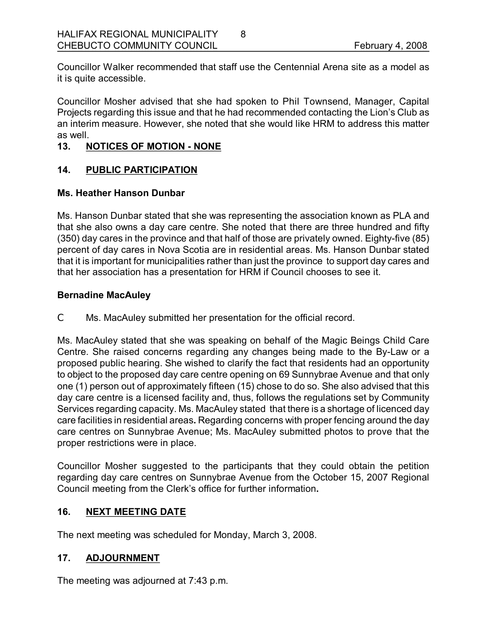Councillor Walker recommended that staff use the Centennial Arena site as a model as it is quite accessible.

8

Councillor Mosher advised that she had spoken to Phil Townsend, Manager, Capital Projects regarding this issue and that he had recommended contacting the Lion's Club as an interim measure. However, she noted that she would like HRM to address this matter as well.

### 13. NOTICES OF MOTION - NONE

#### **14. PUBLIC PARTICIPATION**

#### **Ms. Heather Hanson Dunbar**

Ms. Hanson Dunbar stated that she was representing the association known as PLA and that she also owns a day care centre. She noted that there are three hundred and fifty  $(350)$  day cares in the province and that half of those are privately owned. Eighty-five (85) percent of day cares in Nova Scotia are in residential areas. Ms. Hanson Dunbar stated that it is important for municipalities rather than just the province to support day cares and that her association has a presentation for HRM if Council chooses to see it.

#### **Bernadine MacAuley**

C Ms. MacAuley submitted her presentation for the official record.

Ms. MacAuley stated that she was speaking on behalf of the Magic Beings Child Care Centre. She raised concerns regarding any changes being made to the By-Law or a proposed public hearing. She wished to clarify the fact that residents had an opportunity to object to the proposed day care centre opening on 69 Sunnybrae Avenue and that only one (1) person out of approximately fifteen (15) chose to do so. She also advised that this day care centre is a licensed facility and, thus, follows the regulations set by Community Services regarding capacity. Ms. MacAuley stated that there is a shortage of licenced day care facilities in residential areas**.** Regarding concerns with proper fencing around the day care centres on Sunnybrae Avenue; Ms. MacAuley submitted photos to prove that the proper restrictions were in place.

Councillor Mosher suggested to the participants that they could obtain the petition regarding day care centres on Sunnybrae Avenue from the October 15, 2007 Regional Council meeting from the Clerk's office for further information**.** 

#### **16. NEXT MEETING DATE**

The next meeting was scheduled for Monday, March 3, 2008.

# **17. ADJOURNMENT**

The meeting was adjourned at 7:43 p.m.